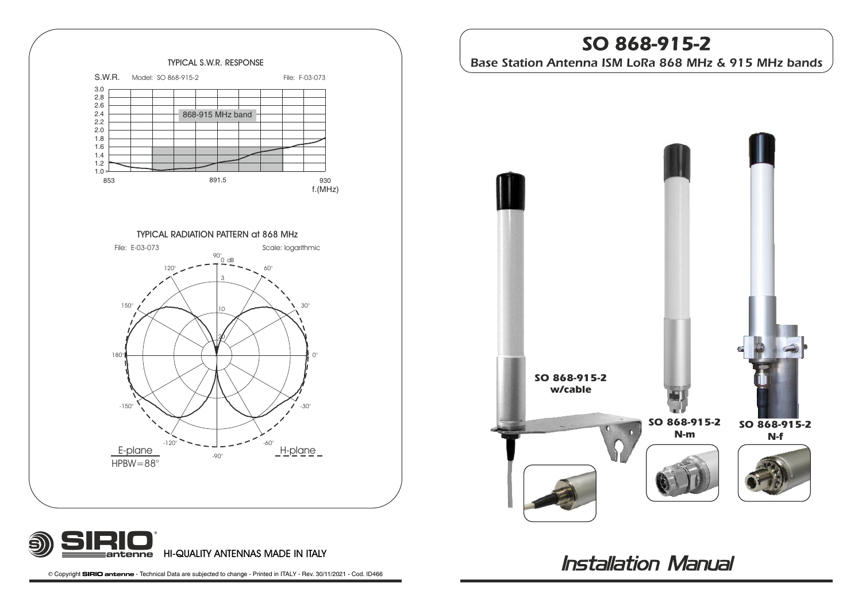

## SO 868-915-2 Base Station Antenna ISM LoRa 868 MHz & 915 MHz bands



## **Installation Manual**

B Copyright **SIRIO antenne** - Technical Data are subjected to change - Printed in ITALY - Rev. 30/11/2021 - Cod. ID466

**antenne**

**S**

HI-QUALITY ANTENNAS MADE IN ITALY